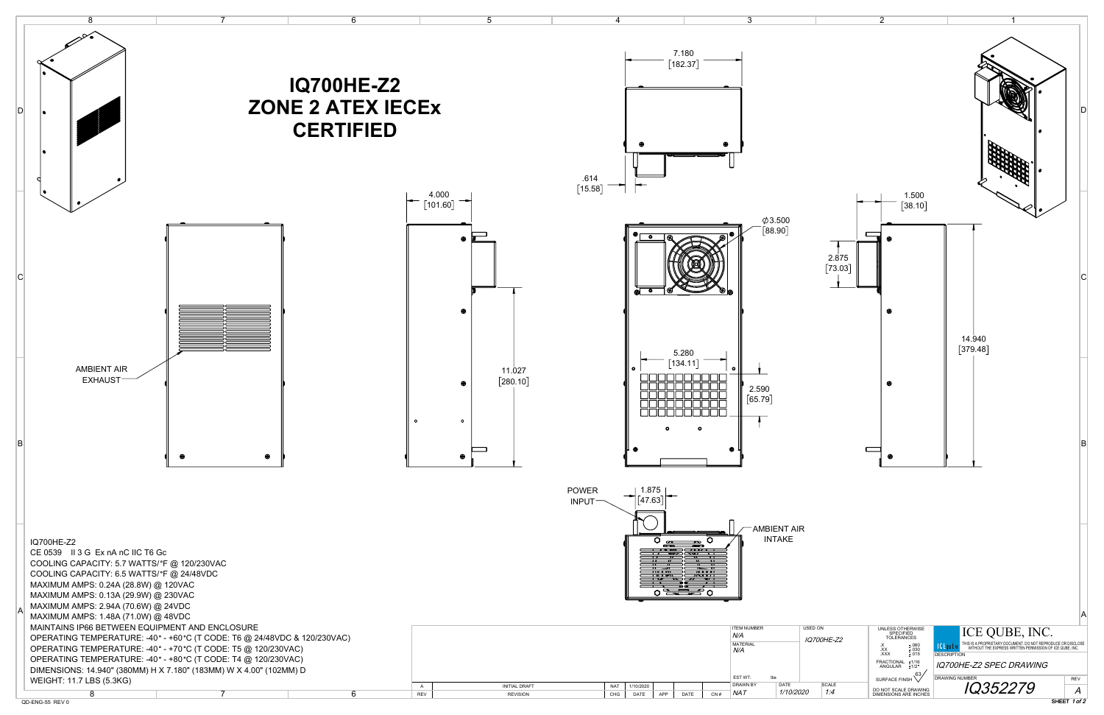

SHEET 1 of 2